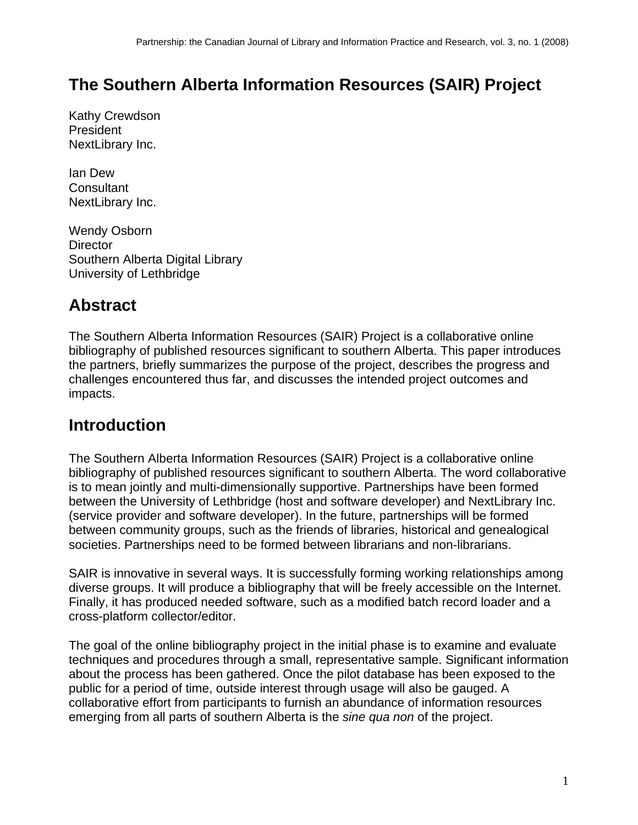## **The Southern Alberta Information Resources (SAIR) Project**

Kathy Crewdson President NextLibrary Inc.

Ian Dew **Consultant** NextLibrary Inc.

Wendy Osborn **Director** Southern Alberta Digital Library University of Lethbridge

### **Abstract**

The Southern Alberta Information Resources (SAIR) Project is a collaborative online bibliography of published resources significant to southern Alberta. This paper introduces the partners, briefly summarizes the purpose of the project, describes the progress and challenges encountered thus far, and discusses the intended project outcomes and impacts.

## **Introduction**

The Southern Alberta Information Resources (SAIR) Project is a collaborative online bibliography of published resources significant to southern Alberta. The word collaborative is to mean jointly and multi-dimensionally supportive. Partnerships have been formed between the University of Lethbridge (host and software developer) and NextLibrary Inc. (service provider and software developer). In the future, partnerships will be formed between community groups, such as the friends of libraries, historical and genealogical societies. Partnerships need to be formed between librarians and non-librarians.

SAIR is innovative in several ways. It is successfully forming working relationships among diverse groups. It will produce a bibliography that will be freely accessible on the Internet. Finally, it has produced needed software, such as a modified batch record loader and a cross-platform collector/editor.

The goal of the online bibliography project in the initial phase is to examine and evaluate techniques and procedures through a small, representative sample. Significant information about the process has been gathered. Once the pilot database has been exposed to the public for a period of time, outside interest through usage will also be gauged. A collaborative effort from participants to furnish an abundance of information resources emerging from all parts of southern Alberta is the *sine qua non* of the project.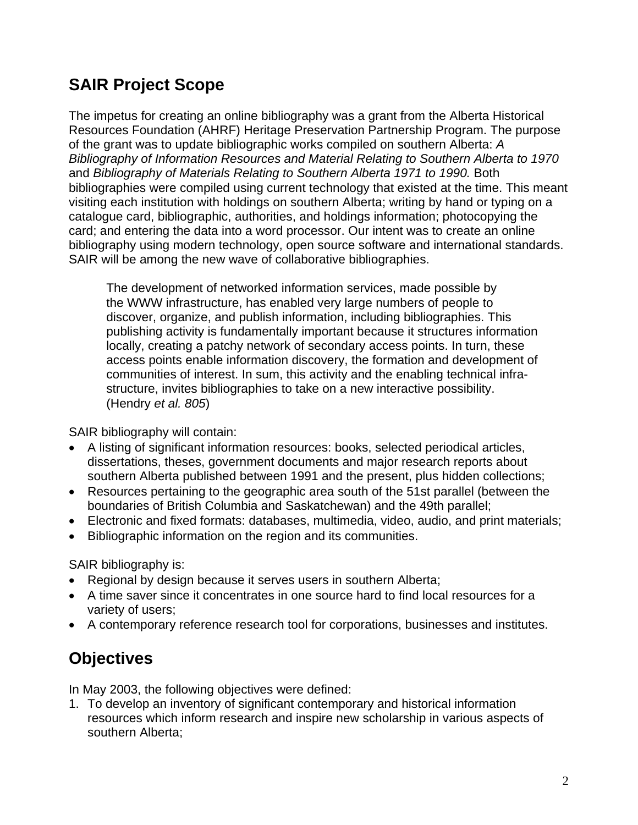# **SAIR Project Scope**

The impetus for creating an online bibliography was a grant from the Alberta Historical Resources Foundation (AHRF) Heritage Preservation Partnership Program. The purpose of the grant was to update bibliographic works compiled on southern Alberta: *A Bibliography of Information Resources and Material Relating to Southern Alberta to 1970*  and *Bibliography of Materials Relating to Southern Alberta 1971 to 1990.* Both bibliographies were compiled using current technology that existed at the time. This meant visiting each institution with holdings on southern Alberta; writing by hand or typing on a catalogue card, bibliographic, authorities, and holdings information; photocopying the card; and entering the data into a word processor. Our intent was to create an online bibliography using modern technology, open source software and international standards. SAIR will be among the new wave of collaborative bibliographies.

The development of networked information services, made possible by the WWW infrastructure, has enabled very large numbers of people to discover, organize, and publish information, including bibliographies. This publishing activity is fundamentally important because it structures information locally, creating a patchy network of secondary access points. In turn, these access points enable information discovery, the formation and development of communities of interest. In sum, this activity and the enabling technical infrastructure, invites bibliographies to take on a new interactive possibility. (Hendry *et al. 805*)

SAIR bibliography will contain:

- A listing of significant information resources: books, selected periodical articles, dissertations, theses, government documents and major research reports about southern Alberta published between 1991 and the present, plus hidden collections;
- Resources pertaining to the geographic area south of the 51st parallel (between the boundaries of British Columbia and Saskatchewan) and the 49th parallel;
- Electronic and fixed formats: databases, multimedia, video, audio, and print materials;
- Bibliographic information on the region and its communities.

SAIR bibliography is:

- Regional by design because it serves users in southern Alberta;
- A time saver since it concentrates in one source hard to find local resources for a variety of users;
- A contemporary reference research tool for corporations, businesses and institutes.

## **Objectives**

In May 2003, the following objectives were defined:

1. To develop an inventory of significant contemporary and historical information resources which inform research and inspire new scholarship in various aspects of southern Alberta;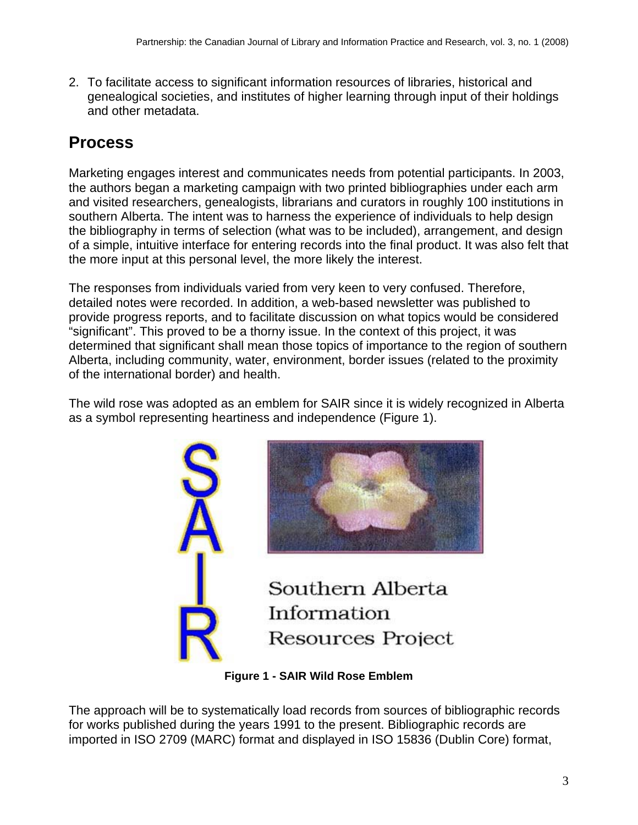2. To facilitate access to significant information resources of libraries, historical and genealogical societies, and institutes of higher learning through input of their holdings and other metadata.

# **Process**

Marketing engages interest and communicates needs from potential participants. In 2003, the authors began a marketing campaign with two printed bibliographies under each arm and visited researchers, genealogists, librarians and curators in roughly 100 institutions in southern Alberta. The intent was to harness the experience of individuals to help design the bibliography in terms of selection (what was to be included), arrangement, and design of a simple, intuitive interface for entering records into the final product. It was also felt that the more input at this personal level, the more likely the interest.

The responses from individuals varied from very keen to very confused. Therefore, detailed notes were recorded. In addition, a web-based newsletter was published to provide progress reports, and to facilitate discussion on what topics would be considered "significant". This proved to be a thorny issue. In the context of this project, it was determined that significant shall mean those topics of importance to the region of southern Alberta, including community, water, environment, border issues (related to the proximity of the international border) and health.

The wild rose was adopted as an emblem for SAIR since it is widely recognized in Alberta as a symbol representing heartiness and independence (Figure 1).





Southern Alberta Information Resources Project

**Figure 1 - SAIR Wild Rose Emblem** 

The approach will be to systematically load records from sources of bibliographic records for works published during the years 1991 to the present. Bibliographic records are imported in ISO 2709 (MARC) format and displayed in ISO 15836 (Dublin Core) format,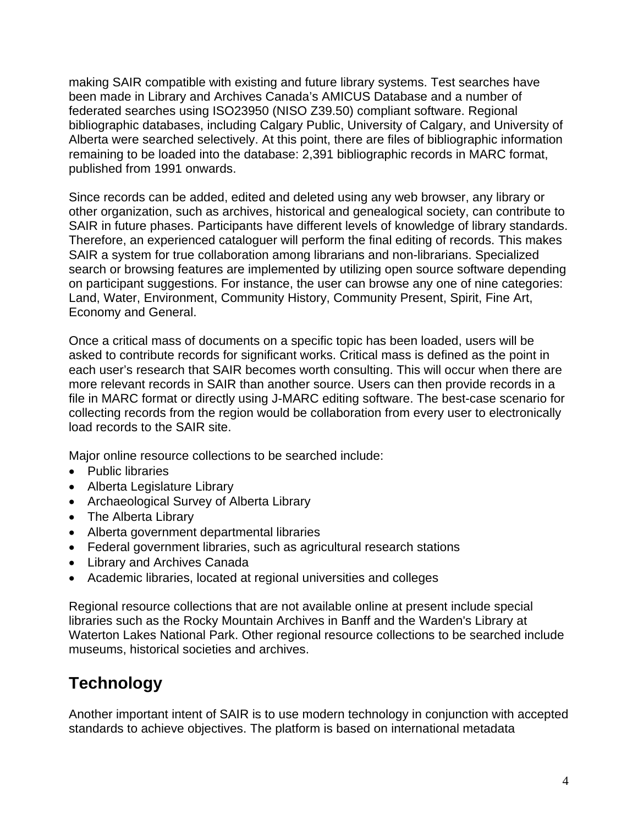making SAIR compatible with existing and future library systems. Test searches have been made in Library and Archives Canada's AMICUS Database and a number of federated searches using ISO23950 (NISO Z39.50) compliant software. Regional bibliographic databases, including Calgary Public, University of Calgary, and University of Alberta were searched selectively. At this point, there are files of bibliographic information remaining to be loaded into the database: 2,391 bibliographic records in MARC format, published from 1991 onwards.

Since records can be added, edited and deleted using any web browser, any library or other organization, such as archives, historical and genealogical society, can contribute to SAIR in future phases. Participants have different levels of knowledge of library standards. Therefore, an experienced cataloguer will perform the final editing of records. This makes SAIR a system for true collaboration among librarians and non-librarians. Specialized search or browsing features are implemented by utilizing open source software depending on participant suggestions. For instance, the user can browse any one of nine categories: Land, Water, Environment, Community History, Community Present, Spirit, Fine Art, Economy and General.

Once a critical mass of documents on a specific topic has been loaded, users will be asked to contribute records for significant works. Critical mass is defined as the point in each user's research that SAIR becomes worth consulting. This will occur when there are more relevant records in SAIR than another source. Users can then provide records in a file in MARC format or directly using J-MARC editing software. The best-case scenario for collecting records from the region would be collaboration from every user to electronically load records to the SAIR site.

Major online resource collections to be searched include:

- Public libraries
- Alberta Legislature Library
- Archaeological Survey of Alberta Library
- The Alberta Library
- Alberta government departmental libraries
- Federal government libraries, such as agricultural research stations
- Library and Archives Canada
- Academic libraries, located at regional universities and colleges

Regional resource collections that are not available online at present include special libraries such as the Rocky Mountain Archives in Banff and the Warden's Library at Waterton Lakes National Park. Other regional resource collections to be searched include museums, historical societies and archives.

# **Technology**

Another important intent of SAIR is to use modern technology in conjunction with accepted standards to achieve objectives. The platform is based on international metadata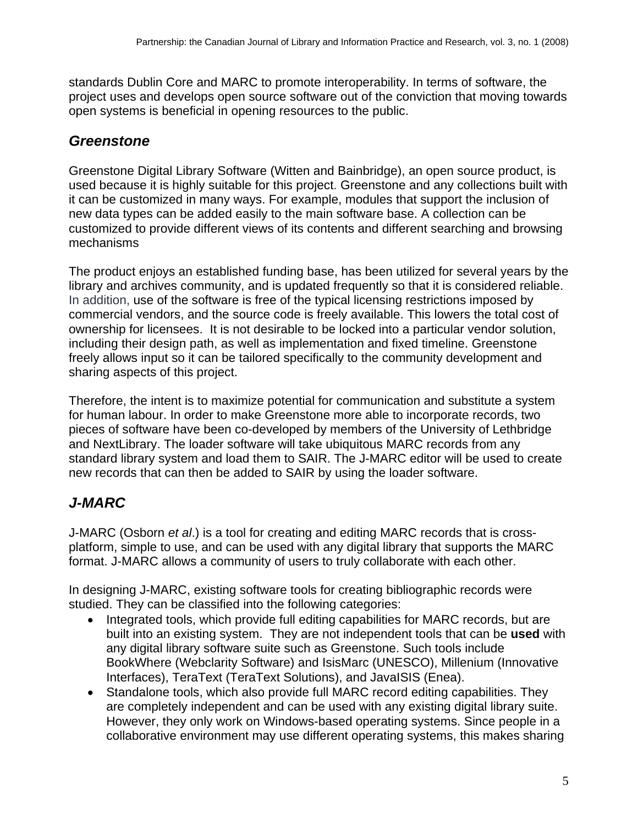standards Dublin Core and MARC to promote interoperability. In terms of software, the project uses and develops open source software out of the conviction that moving towards open systems is beneficial in opening resources to the public.

#### *Greenstone*

Greenstone Digital Library Software (Witten and Bainbridge), an open source product, is used because it is highly suitable for this project. Greenstone and any collections built with it can be customized in many ways. For example, modules that support the inclusion of new data types can be added easily to the main software base. A collection can be customized to provide different views of its contents and different searching and browsing mechanisms

The product enjoys an established funding base, has been utilized for several years by the library and archives community, and is updated frequently so that it is considered reliable. In addition, use of the software is free of the typical licensing restrictions imposed by commercial vendors, and the source code is freely available. This lowers the total cost of ownership for licensees. It is not desirable to be locked into a particular vendor solution, including their design path, as well as implementation and fixed timeline. Greenstone freely allows input so it can be tailored specifically to the community development and sharing aspects of this project.

Therefore, the intent is to maximize potential for communication and substitute a system for human labour. In order to make Greenstone more able to incorporate records, two pieces of software have been co-developed by members of the University of Lethbridge and NextLibrary. The loader software will take ubiquitous MARC records from any standard library system and load them to SAIR. The J-MARC editor will be used to create new records that can then be added to SAIR by using the loader software.

### *J-MARC*

J-MARC (Osborn *et al*.) is a tool for creating and editing MARC records that is crossplatform, simple to use, and can be used with any digital library that supports the MARC format. J-MARC allows a community of users to truly collaborate with each other.

In designing J-MARC, existing software tools for creating bibliographic records were studied. They can be classified into the following categories:

- Integrated tools, which provide full editing capabilities for MARC records, but are built into an existing system. They are not independent tools that can be **used** with any digital library software suite such as Greenstone. Such tools include BookWhere (Webclarity Software) and IsisMarc (UNESCO), Millenium (Innovative Interfaces), TeraText (TeraText Solutions), and JavaISIS (Enea).
- Standalone tools, which also provide full MARC record editing capabilities. They are completely independent and can be used with any existing digital library suite. However, they only work on Windows-based operating systems. Since people in a collaborative environment may use different operating systems, this makes sharing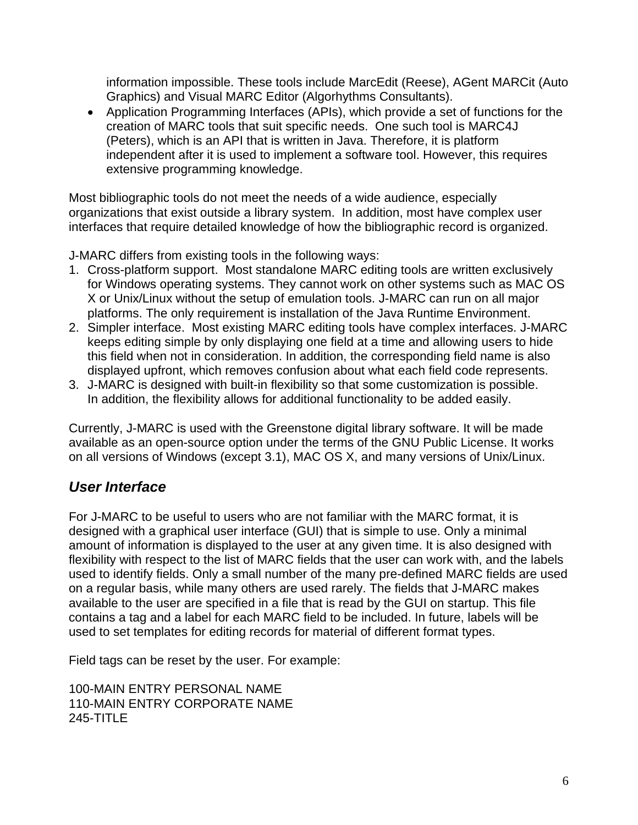information impossible. These tools include MarcEdit (Reese), AGent MARCit (Auto Graphics) and Visual MARC Editor (Algorhythms Consultants).

• Application Programming Interfaces (APIs), which provide a set of functions for the creation of MARC tools that suit specific needs. One such tool is MARC4J (Peters), which is an API that is written in Java. Therefore, it is platform independent after it is used to implement a software tool. However, this requires extensive programming knowledge.

Most bibliographic tools do not meet the needs of a wide audience, especially organizations that exist outside a library system. In addition, most have complex user interfaces that require detailed knowledge of how the bibliographic record is organized.

J-MARC differs from existing tools in the following ways:

- 1. Cross-platform support. Most standalone MARC editing tools are written exclusively for Windows operating systems. They cannot work on other systems such as MAC OS X or Unix/Linux without the setup of emulation tools. J-MARC can run on all major platforms. The only requirement is installation of the Java Runtime Environment.
- 2. Simpler interface. Most existing MARC editing tools have complex interfaces. J-MARC keeps editing simple by only displaying one field at a time and allowing users to hide this field when not in consideration. In addition, the corresponding field name is also displayed upfront, which removes confusion about what each field code represents.
- 3. J-MARC is designed with built-in flexibility so that some customization is possible. In addition, the flexibility allows for additional functionality to be added easily.

Currently, J-MARC is used with the Greenstone digital library software. It will be made available as an open-source option under the terms of the GNU Public License. It works on all versions of Windows (except 3.1), MAC OS X, and many versions of Unix/Linux.

#### *User Interface*

For J-MARC to be useful to users who are not familiar with the MARC format, it is designed with a graphical user interface (GUI) that is simple to use. Only a minimal amount of information is displayed to the user at any given time. It is also designed with flexibility with respect to the list of MARC fields that the user can work with, and the labels used to identify fields. Only a small number of the many pre-defined MARC fields are used on a regular basis, while many others are used rarely. The fields that J-MARC makes available to the user are specified in a file that is read by the GUI on startup. This file contains a tag and a label for each MARC field to be included. In future, labels will be used to set templates for editing records for material of different format types.

Field tags can be reset by the user. For example:

100-MAIN ENTRY PERSONAL NAME 110-MAIN ENTRY CORPORATE NAME 245-TITLE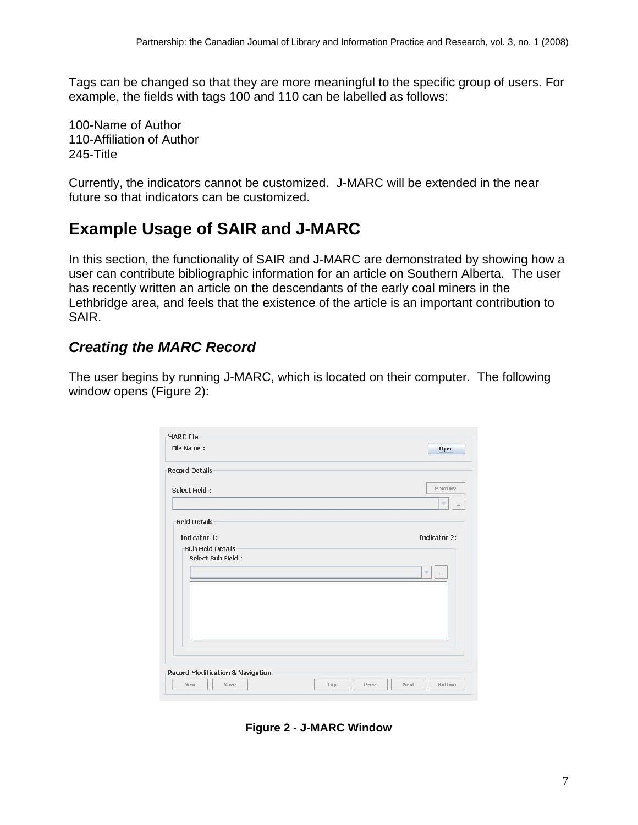Tags can be changed so that they are more meaningful to the specific group of users. For example, the fields with tags 100 and 110 can be labelled as follows:

100-Name of Author 110-Affiliation of Author 245-Title

Currently, the indicators cannot be customized. J-MARC will be extended in the near future so that indicators can be customized.

### **Example Usage of SAIR and J-MARC**

In this section, the functionality of SAIR and J-MARC are demonstrated by showing how a user can contribute bibliographic information for an article on Southern Alberta. The user has recently written an article on the descendants of the early coal miners in the Lethbridge area, and feels that the existence of the article is an important contribution to SAIR.

#### *Creating the MARC Record*

The user begins by running J-MARC, which is located on their computer. The following window opens [\(Figure 2](#page-6-0)):

| File Name:                                    |  | <b>Open</b>                     |
|-----------------------------------------------|--|---------------------------------|
| <b>Record Details</b>                         |  |                                 |
| Select Field:                                 |  | Preview                         |
|                                               |  | $\overline{\mathcal{L}}$<br>558 |
| <b>Field Details</b>                          |  |                                 |
| Indicator 1:                                  |  | Indicator 2:                    |
| <b>Sub Field Details</b><br>Select Sub Field: |  |                                 |
|                                               |  | ×<br>$\cdots$                   |
|                                               |  |                                 |
|                                               |  |                                 |
|                                               |  |                                 |
|                                               |  |                                 |
|                                               |  |                                 |
|                                               |  |                                 |
|                                               |  |                                 |
| Record Modification & Navigation              |  |                                 |

<span id="page-6-0"></span>**Figure 2 - J-MARC Window**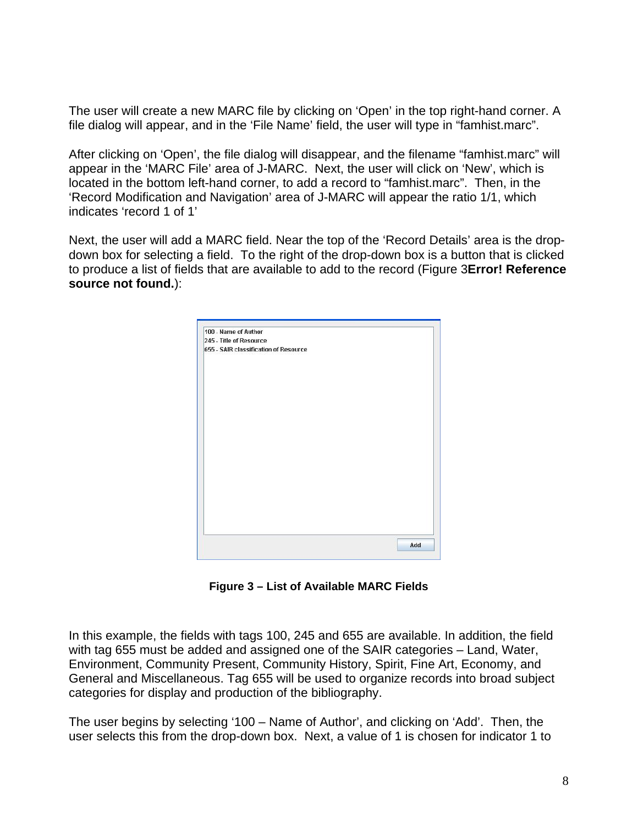The user will create a new MARC file by clicking on 'Open' in the top right-hand corner. A file dialog will appear, and in the 'File Name' field, the user will type in "famhist.marc".

After clicking on 'Open', the file dialog will disappear, and the filename "famhist.marc" will appear in the 'MARC File' area of J-MARC. Next, the user will click on 'New', which is located in the bottom left-hand corner, to add a record to "famhist.marc". Then, in the 'Record Modification and Navigation' area of J-MARC will appear the ratio 1/1, which indicates 'record 1 of 1'

Next, the user will add a MARC field. Near the top of the 'Record Details' area is the dropdown box for selecting a field. To the right of the drop-down box is a button that is clicked to produce a list of fields that are available to add to the record (Figure 3**Error! Reference source not found.**):



**Figure 3 – List of Available MARC Fields** 

In this example, the fields with tags 100, 245 and 655 are available. In addition, the field with tag 655 must be added and assigned one of the SAIR categories – Land, Water, Environment, Community Present, Community History, Spirit, Fine Art, Economy, and General and Miscellaneous. Tag 655 will be used to organize records into broad subject categories for display and production of the bibliography.

The user begins by selecting '100 – Name of Author', and clicking on 'Add'. Then, the user selects this from the drop-down box. Next, a value of 1 is chosen for indicator 1 to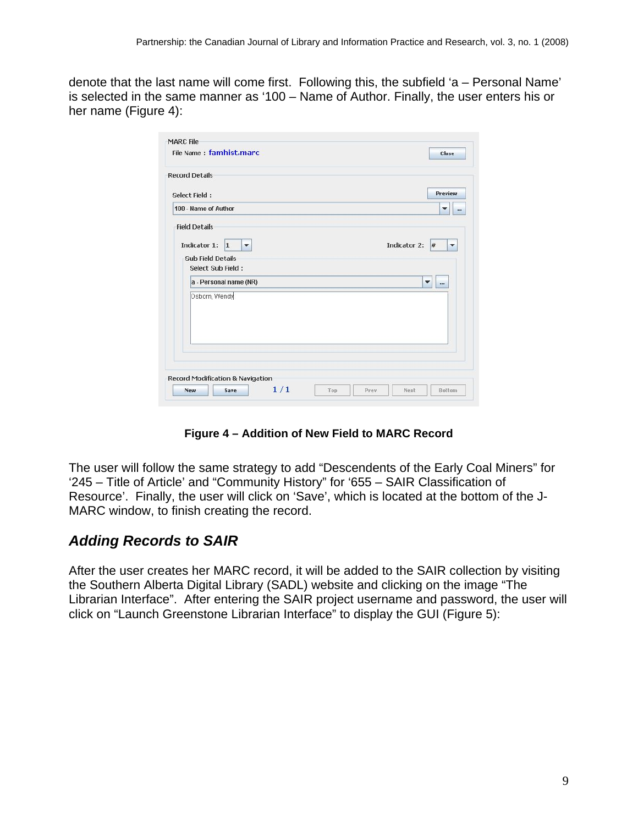denote that the last name will come first. Following this, the subfield 'a – Personal Name' is selected in the same manner as '100 – Name of Author. Finally, the user enters his or her name (Figure 4):

| File Name: famhist.marc                                                                                              |  |  | Close        |                   |
|----------------------------------------------------------------------------------------------------------------------|--|--|--------------|-------------------|
| <b>Record Details</b>                                                                                                |  |  |              |                   |
| Select Field:                                                                                                        |  |  |              | <b>Preview</b>    |
| 100 - Name of Author                                                                                                 |  |  |              | v<br>             |
| <b>Field Details</b><br>Indicator 1:<br> 1 <br>$\blacktriangledown$<br><b>Sub Field Details</b><br>Select Sub Field: |  |  | Indicator 2: | #<br>$\mathbf{v}$ |
| a - Personal name (NR)                                                                                               |  |  | $\mathbf{v}$ |                   |
| Osborn, Wendy                                                                                                        |  |  |              |                   |
| Record Modification & Navigation                                                                                     |  |  |              |                   |

**Figure 4 – Addition of New Field to MARC Record** 

The user will follow the same strategy to add "Descendents of the Early Coal Miners" for '245 – Title of Article' and "Community History" for '655 – SAIR Classification of Resource'. Finally, the user will click on 'Save', which is located at the bottom of the J-MARC window, to finish creating the record.

#### *Adding Records to SAIR*

After the user creates her MARC record, it will be added to the SAIR collection by visiting the Southern Alberta Digital Library (SADL) website and clicking on the image "The Librarian Interface". After entering the SAIR project username and password, the user will click on "Launch Greenstone Librarian Interface" to display the GUI (Figure 5):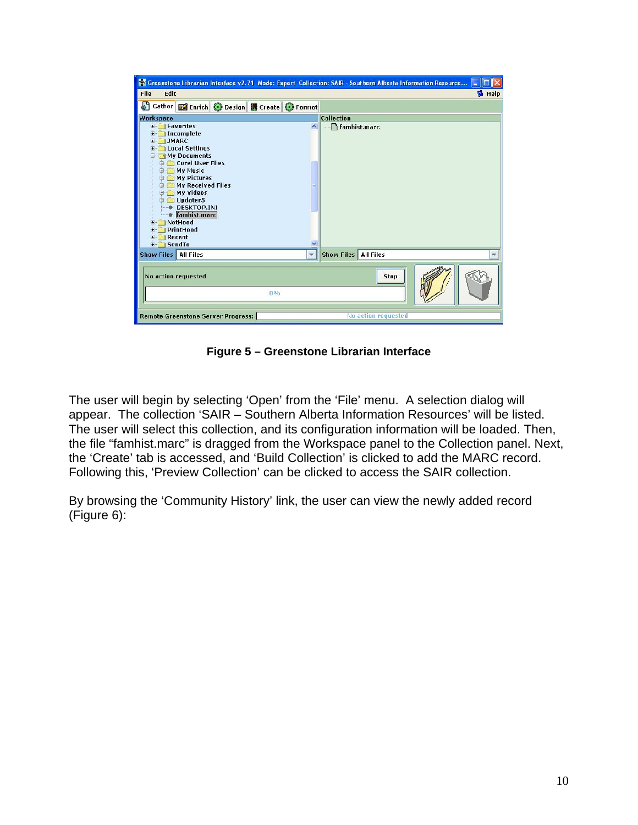| Creenstone Librarian Interface v2.71 Mode: Expert Collection: SAIR - Southern Alberta Information Resource                                                                                                                                                                                                                                                      |                   |                     |               |
|-----------------------------------------------------------------------------------------------------------------------------------------------------------------------------------------------------------------------------------------------------------------------------------------------------------------------------------------------------------------|-------------------|---------------------|---------------|
| File<br>Edit                                                                                                                                                                                                                                                                                                                                                    |                   |                     | <b>B</b> Help |
| 51<br>Gather <b>&amp;</b> Enrich O Design <b>B</b> Create O Format                                                                                                                                                                                                                                                                                              |                   |                     |               |
| Workspace                                                                                                                                                                                                                                                                                                                                                       | Collection        |                     |               |
| <b>E</b> Favorites<br><b>E</b> Incomplete<br><b>JMARC</b><br><b>E-1</b><br><b>E-BILocal Settings</b><br>My Documents<br><b>E-Corel User Files</b><br>E My Music<br>My Pictures<br>My Received Files<br>E My Videos<br><b>E</b> Updater5<br><b>DESKTOP.INI</b><br>famhist.marc<br>E NetHood<br>PrintHood<br>$+ - -$<br>$H$ Recent<br><b>SendTo</b><br><b>E-1</b> | famhist.marc      |                     |               |
| Show Files   All Files                                                                                                                                                                                                                                                                                                                                          | <b>Show Files</b> | <b>All Files</b>    |               |
| No action requested<br>0%                                                                                                                                                                                                                                                                                                                                       |                   | <b>Stop</b>         |               |
| <b>Remote Greenstone Server Progress:</b>                                                                                                                                                                                                                                                                                                                       |                   | No action requested |               |

**Figure 5 – Greenstone Librarian Interface** 

The user will begin by selecting 'Open' from the 'File' menu. A selection dialog will appear. The collection 'SAIR – Southern Alberta Information Resources' will be listed. The user will select this collection, and its configuration information will be loaded. Then, the file "famhist.marc" is dragged from the Workspace panel to the Collection panel. Next, the 'Create' tab is accessed, and 'Build Collection' is clicked to add the MARC record. Following this, 'Preview Collection' can be clicked to access the SAIR collection.

By browsing the 'Community History' link, the user can view the newly added record (Figure 6):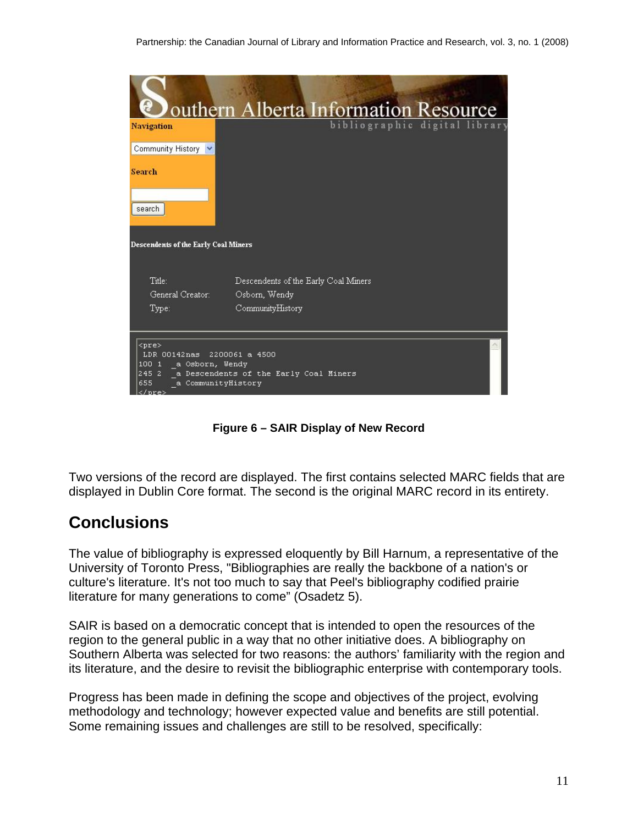|                                                                                                                      | Jouthern Alberta Information Resource                          |
|----------------------------------------------------------------------------------------------------------------------|----------------------------------------------------------------|
| Navigation                                                                                                           | bibliographic digital library                                  |
| Community History V                                                                                                  |                                                                |
| <b>Search</b>                                                                                                        |                                                                |
| search                                                                                                               |                                                                |
| <b>Descendents of the Early Coal Miners</b>                                                                          |                                                                |
| Title:                                                                                                               | Descendents of the Early Coal Miners                           |
| General Creator:                                                                                                     | Osborn, Wendy                                                  |
| Type:                                                                                                                | CommunityHistory                                               |
|                                                                                                                      |                                                                |
| <pre><br/><math>LDR</math> 00142<math>nas</math><br/>100 1 a Osborn, Wendy<br/>655<br/>a CommunityHistory<br/></pre> | 2200061 a 4500<br>245 2 a Descendents of the Early Coal Miners |

**Figure 6 – SAIR Display of New Record** 

Two versions of the record are displayed. The first contains selected MARC fields that are displayed in Dublin Core format. The second is the original MARC record in its entirety.

### **Conclusions**

The value of bibliography is expressed eloquently by Bill Harnum, a representative of the University of Toronto Press, "Bibliographies are really the backbone of a nation's or culture's literature. It's not too much to say that Peel's bibliography codified prairie literature for many generations to come" (Osadetz 5).

SAIR is based on a democratic concept that is intended to open the resources of the region to the general public in a way that no other initiative does. A bibliography on Southern Alberta was selected for two reasons: the authors' familiarity with the region and its literature, and the desire to revisit the bibliographic enterprise with contemporary tools.

Progress has been made in defining the scope and objectives of the project, evolving methodology and technology; however expected value and benefits are still potential. Some remaining issues and challenges are still to be resolved, specifically: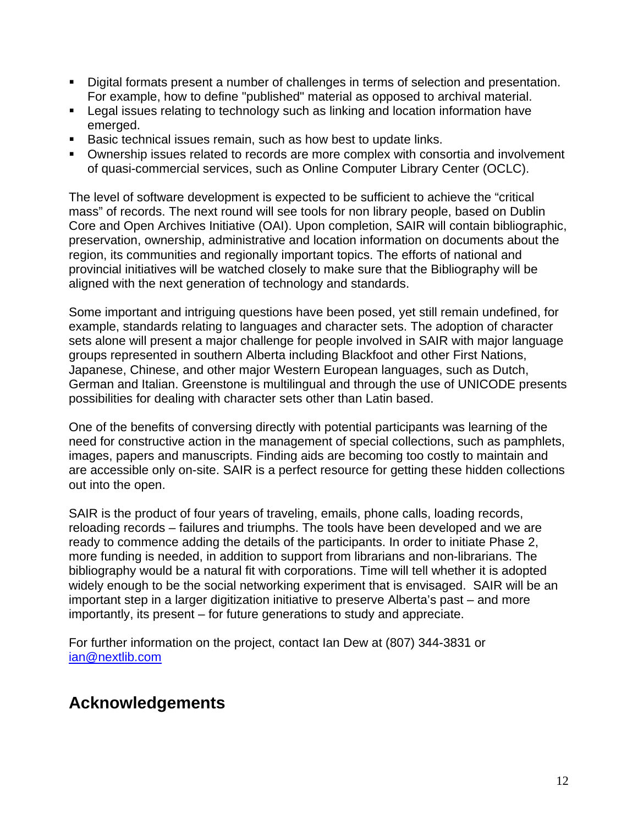- Digital formats present a number of challenges in terms of selection and presentation. For example, how to define "published" material as opposed to archival material.
- **Legal issues relating to technology such as linking and location information have** emerged.
- **Basic technical issues remain, such as how best to update links.**
- Ownership issues related to records are more complex with consortia and involvement of quasi-commercial services, such as Online Computer Library Center (OCLC).

The level of software development is expected to be sufficient to achieve the "critical mass" of records. The next round will see tools for non library people, based on Dublin Core and Open Archives Initiative (OAI). Upon completion, SAIR will contain bibliographic, preservation, ownership, administrative and location information on documents about the region, its communities and regionally important topics. The efforts of national and provincial initiatives will be watched closely to make sure that the Bibliography will be aligned with the next generation of technology and standards.

Some important and intriguing questions have been posed, yet still remain undefined, for example, standards relating to languages and character sets. The adoption of character sets alone will present a major challenge for people involved in SAIR with major language groups represented in southern Alberta including Blackfoot and other First Nations, Japanese, Chinese, and other major Western European languages, such as Dutch, German and Italian. Greenstone is multilingual and through the use of UNICODE presents possibilities for dealing with character sets other than Latin based.

One of the benefits of conversing directly with potential participants was learning of the need for constructive action in the management of special collections, such as pamphlets, images, papers and manuscripts. Finding aids are becoming too costly to maintain and are accessible only on-site. SAIR is a perfect resource for getting these hidden collections out into the open.

SAIR is the product of four years of traveling, emails, phone calls, loading records, reloading records – failures and triumphs. The tools have been developed and we are ready to commence adding the details of the participants. In order to initiate Phase 2, more funding is needed, in addition to support from librarians and non-librarians. The bibliography would be a natural fit with corporations. Time will tell whether it is adopted widely enough to be the social networking experiment that is envisaged. SAIR will be an important step in a larger digitization initiative to preserve Alberta's past – and more importantly, its present – for future generations to study and appreciate.

For further information on the project, contact Ian Dew at (807) 344-3831 or [ian@nextlib.com](mailto:ian@nextlib.com)

### **Acknowledgements**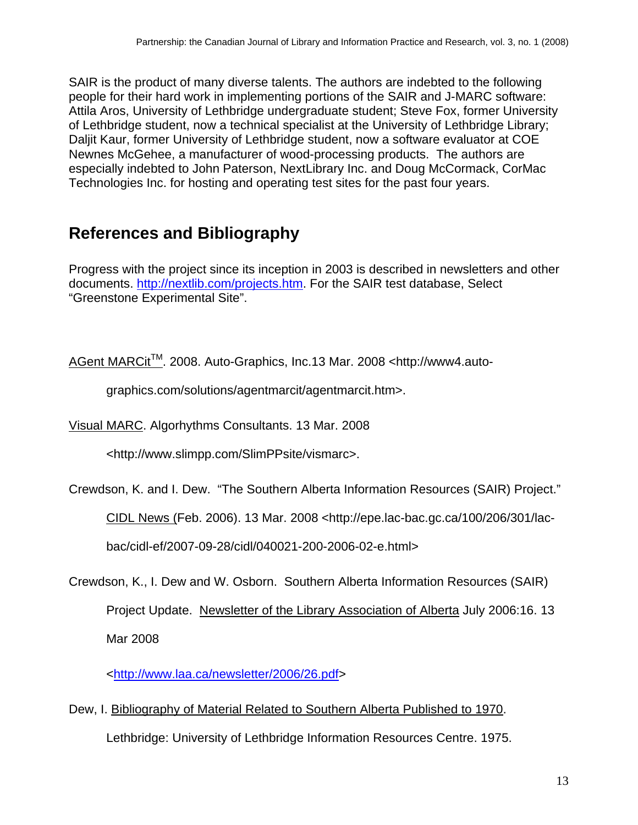SAIR is the product of many diverse talents. The authors are indebted to the following people for their hard work in implementing portions of the SAIR and J-MARC software: Attila Aros, University of Lethbridge undergraduate student; Steve Fox, former University of Lethbridge student, now a technical specialist at the University of Lethbridge Library; Daljit Kaur, former University of Lethbridge student, now a software evaluator at COE Newnes McGehee, a manufacturer of wood-processing products. The authors are especially indebted to John Paterson, NextLibrary Inc. and Doug McCormack, CorMac Technologies Inc. for hosting and operating test sites for the past four years.

# **References and Bibliography**

Progress with the project since its inception in 2003 is described in newsletters and other documents. [http://nextlib.com/projects.htm.](http://nextlib.com/projects.htm) For the SAIR test database, Select "Greenstone Experimental Site".

AGent MARCit<sup>™</sup>. 2008. Auto-Graphics, Inc.13 Mar. 2008 <http://www4.auto-

graphics.com/solutions/agentmarcit/agentmarcit.htm>.

Visual MARC. Algorhythms Consultants. 13 Mar. 2008

<http://www.slimpp.com/SlimPPsite/vismarc>.

Crewdson, K. and I. Dew. "The Southern Alberta Information Resources (SAIR) Project."

CIDL News (Feb. 2006). 13 Mar. 2008 <http://epe.lac-bac.gc.ca/100/206/301/lac-

bac/cidl-ef/2007-09-28/cidl/040021-200-2006-02-e.html>

Crewdson, K., I. Dew and W. Osborn. Southern Alberta Information Resources (SAIR) Project Update. Newsletter of the Library Association of Alberta July 2006:16. 13 Mar 2008

[<http://www.laa.ca/newsletter/2006/26.pdf](http://www.laa.ca/newsletter/2006/26.pdf)>

Dew, I. Bibliography of Material Related to Southern Alberta Published to 1970. Lethbridge: University of Lethbridge Information Resources Centre. 1975.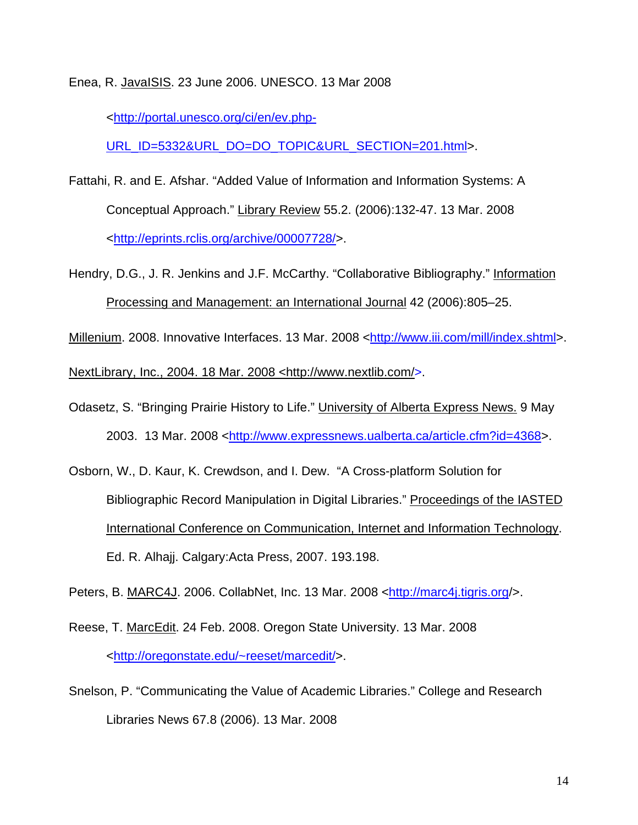Enea, R. JavaISIS. 23 June 2006. UNESCO. 13 Mar 2008

[<http://portal.unesco.org/ci/en/ev.php-](http://portal.unesco.org/ci/en/ev.php-URL_ID=5332&URL_DO=DO_TOPIC&URL_SECTION=201.html)

[URL\\_ID=5332&URL\\_DO=DO\\_TOPIC&URL\\_SECTION=201.html](http://portal.unesco.org/ci/en/ev.php-URL_ID=5332&URL_DO=DO_TOPIC&URL_SECTION=201.html)>.

- Fattahi, R. and E. Afshar. "Added Value of Information and Information Systems: A Conceptual Approach." Library Review 55.2. (2006):132-47. 13 Mar. 2008 [<http://eprints.rclis.org/archive/00007728/](http://eprints.rclis.org/archive/00007728/)>.
- Hendry, D.G., J. R. Jenkins and J.F. McCarthy. "Collaborative Bibliography." Information Processing and Management: an International Journal 42 (2006):805–25.

Millenium. 2008. Innovative Interfaces. 13 Mar. 2008 [<http://www.iii.com/mill/index.shtml>](http://www.iii.com/mill/index.shtml).

NextLibrary, Inc., 2004. 18 Mar. 2008 <[http://www.nextlib.com/>](http://www.nextlib.com/).

- Odasetz, S. "Bringing Prairie History to Life." University of Alberta Express News. 9 May 2003. 13 Mar. 2008 <[http://www.expressnews.ualberta.ca/article.cfm?id=4368>](http://www.expressnews.ualberta.ca/article.cfm?id=4368).
- Osborn, W., D. Kaur, K. Crewdson, and I. Dew. "A Cross-platform Solution for Bibliographic Record Manipulation in Digital Libraries." Proceedings of the IASTED International Conference on Communication, Internet and Information Technology. Ed. R. Alhajj. Calgary:Acta Press, 2007. 193.198.

Peters, B. MARC4J. 2006. CollabNet, Inc. 13 Mar. 2008 [<http://marc4j.tigris.org/](http://marc4j.tigris.org/)>.

- Reese, T. MarcEdit. 24 Feb. 2008. Oregon State University. 13 Mar. 2008 [<http://oregonstate.edu/~reeset/marcedit/](http://oregonstate.edu/%7Ereeset/marcedit/)>.
- Snelson, P. "Communicating the Value of Academic Libraries." College and Research Libraries News 67.8 (2006). 13 Mar. 2008